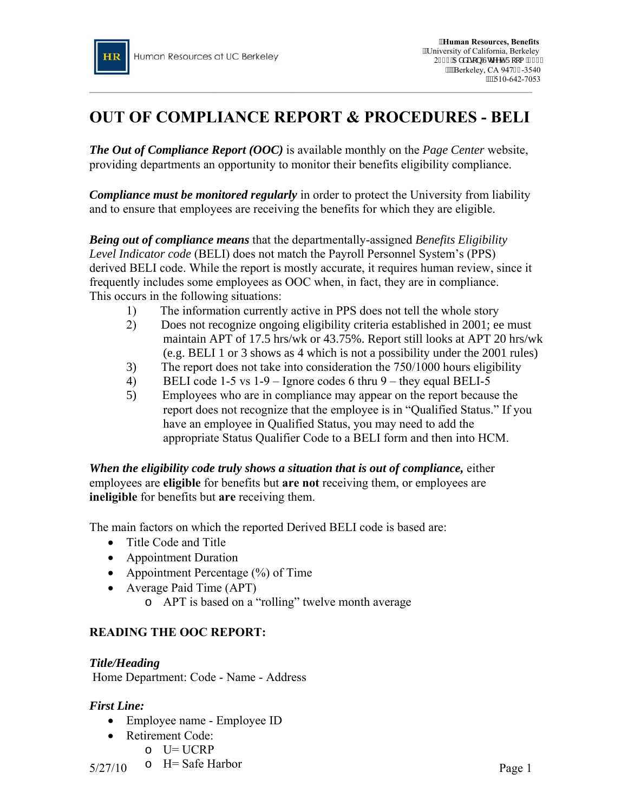

# **OUT OF COMPLIANCE REPORT & PROCEDURES - BELI**

*The Out of Compliance Report (OOC)* is available monthly on the *Page Center* website, providing departments an opportunity to monitor their benefits eligibility compliance.

*Compliance must be monitored regularly* in order to protect the University from liability and to ensure that employees are receiving the benefits for which they are eligible.

*Being out of compliance means* that the departmentally-assigned *Benefits Eligibility Level Indicator code* (BELI) does not match the Payroll Personnel System's (PPS) derived BELI code. While the report is mostly accurate, it requires human review, since it frequently includes some employees as OOC when, in fact, they are in compliance. This occurs in the following situations:

- 1) The information currently active in PPS does not tell the whole story
- 2) Does not recognize ongoing eligibility criteria established in 2001; ee must maintain APT of 17.5 hrs/wk or 43.75%. Report still looks at APT 20 hrs/wk (e.g. BELI 1 or 3 shows as 4 which is not a possibility under the 2001 rules)
- 3) The report does not take into consideration the 750/1000 hours eligibility
- 4) BELI code 1-5 vs 1-9 Ignore codes 6 thru 9 they equal BELI-5
- 5) Employees who are in compliance may appear on the report because the report does not recognize that the employee is in "Qualified Status." If you have an employee in Qualified Status, you may need to add the appropriate Status Qualifier Code to a BELI form and then into HCM.

*When the eligibility code truly shows a situation that is out of compliance,* either employees are **eligible** for benefits but **are not** receiving them, or employees are **ineligible** for benefits but **are** receiving them.

The main factors on which the reported Derived BELI code is based are:

- Title Code and Title
- Appointment Duration
- Appointment Percentage (%) of Time
- Average Paid Time (APT)
	- o APT is based on a "rolling" twelve month average

## **READING THE OOC REPORT:**

## *Title/Heading*

Home Department: Code - Name - Address

## *First Line:*

- Employee name Employee ID
- Retirement Code:
	- o U= UCRP
- $5/27/10$  O H Sale Harbor o H= Safe Harbor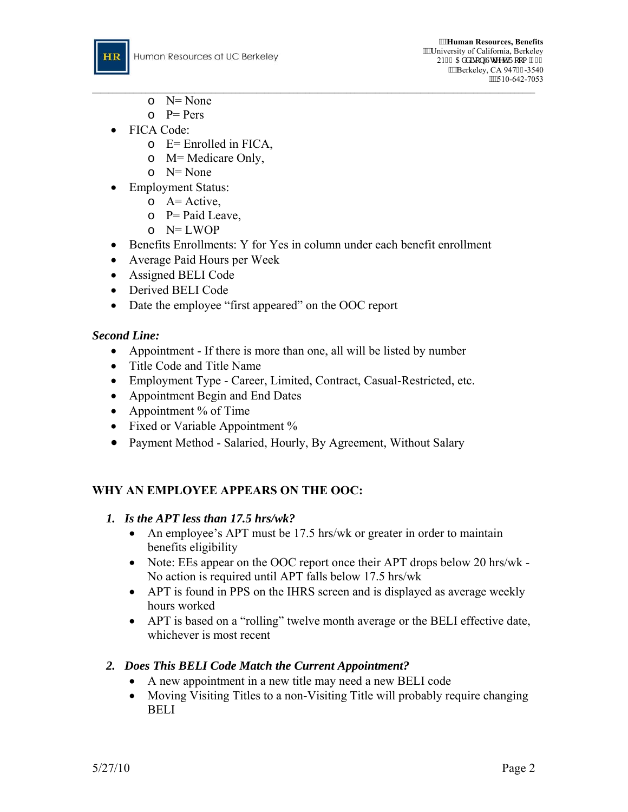

- $\cap$  N= None
- $P = Pers$
- FICA Code:
	- o E= Enrolled in FICA,
	- o M= Medicare Only,
	- o N= None
- Employment Status:
	- $\circ$  A= Active,
	- $\circ$  P= Paid Leave,
	- $o$  N= LWOP
- Benefits Enrollments: Y for Yes in column under each benefit enrollment
- Average Paid Hours per Week
- Assigned BELI Code
- Derived BELI Code
- Date the employee "first appeared" on the OOC report

## *Second Line:*

- Appointment If there is more than one, all will be listed by number
- Title Code and Title Name
- Employment Type Career, Limited, Contract, Casual-Restricted, etc.
- Appointment Begin and End Dates
- Appointment % of Time
- Fixed or Variable Appointment %
- Payment Method Salaried, Hourly, By Agreement, Without Salary

# **WHY AN EMPLOYEE APPEARS ON THE OOC:**

## *1. Is the APT less than 17.5 hrs/wk?*

- An employee's APT must be 17.5 hrs/wk or greater in order to maintain benefits eligibility
- Note: EEs appear on the OOC report once their APT drops below 20 hrs/wk -No action is required until APT falls below 17.5 hrs/wk
- APT is found in PPS on the IHRS screen and is displayed as average weekly hours worked
- APT is based on a "rolling" twelve month average or the BELI effective date, whichever is most recent

## *2. Does This BELI Code Match the Current Appointment?*

- A new appointment in a new title may need a new BELI code
- Moving Visiting Titles to a non-Visiting Title will probably require changing BELI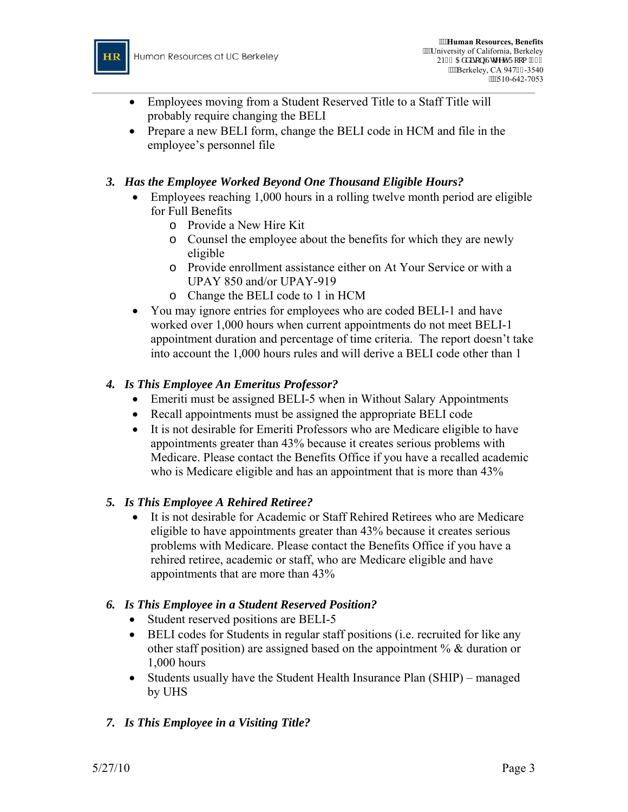

- $\_$  , and the set of the set of the set of the set of the set of the set of the set of the set of the set of the set of the set of the set of the set of the set of the set of the set of the set of the set of the set of th • Employees moving from a Student Reserved Title to a Staff Title will probably require changing the BELI
	- Prepare a new BELI form, change the BELI code in HCM and file in the employee's personnel file

## *3. Has the Employee Worked Beyond One Thousand Eligible Hours?*

- Employees reaching 1,000 hours in a rolling twelve month period are eligible for Full Benefits
	- o Provide a New Hire Kit
	- o Counsel the employee about the benefits for which they are newly eligible
	- o Provide enrollment assistance either on At Your Service or with a UPAY 850 and/or UPAY-919
	- o Change the BELI code to 1 in HCM
- You may ignore entries for employees who are coded BELI-1 and have worked over 1,000 hours when current appointments do not meet BELI-1 appointment duration and percentage of time criteria. The report doesn't take into account the 1,000 hours rules and will derive a BELI code other than 1

## *4. Is This Employee An Emeritus Professor?*

- Emeriti must be assigned BELI-5 when in Without Salary Appointments
- Recall appointments must be assigned the appropriate BELI code
- It is not desirable for Emeriti Professors who are Medicare eligible to have appointments greater than 43% because it creates serious problems with Medicare. Please contact the Benefits Office if you have a recalled academic who is Medicare eligible and has an appointment that is more than  $43\%$

## *5. Is This Employee A Rehired Retiree?*

• It is not desirable for Academic or Staff Rehired Retirees who are Medicare eligible to have appointments greater than 43% because it creates serious problems with Medicare. Please contact the Benefits Office if you have a rehired retiree, academic or staff, who are Medicare eligible and have appointments that are more than 43%

## *6. Is This Employee in a Student Reserved Position?*

- Student reserved positions are BELI-5
- BELI codes for Students in regular staff positions (i.e. recruited for like any other staff position) are assigned based on the appointment % & duration or 1,000 hours
- Students usually have the Student Health Insurance Plan (SHIP) managed by UHS

# *7. Is This Employee in a Visiting Title?*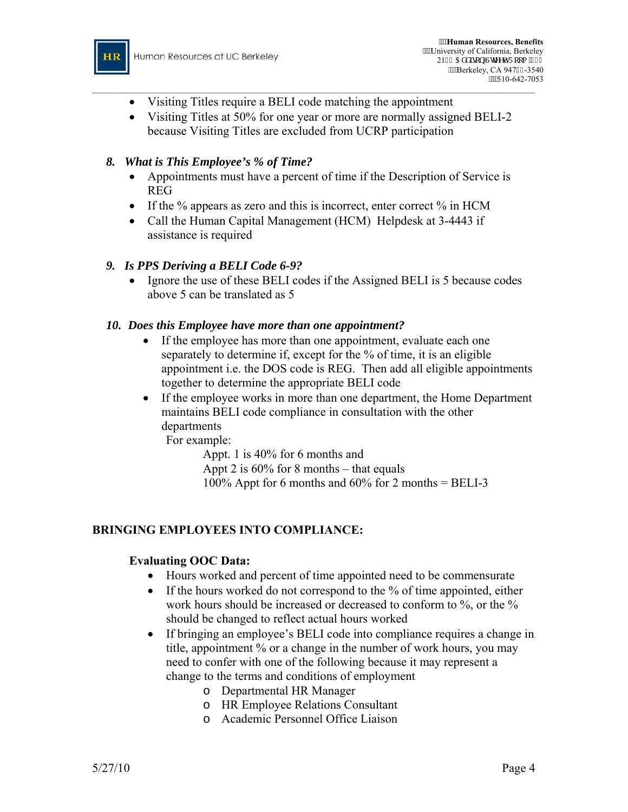

- Visiting Titles require a BELI code matching the appointment
- Visiting Titles at 50% for one year or more are normally assigned BELI-2 because Visiting Titles are excluded from UCRP participation

 $\_$  , and the set of the set of the set of the set of the set of the set of the set of the set of the set of the set of the set of the set of the set of the set of the set of the set of the set of the set of the set of th

## *8. What is This Employee's % of Time?*

- Appointments must have a percent of time if the Description of Service is REG
- If the % appears as zero and this is incorrect, enter correct % in HCM
- Call the Human Capital Management (HCM) Helpdesk at 3-4443 if assistance is required

## *9. Is PPS Deriving a BELI Code 6-9?*

• Ignore the use of these BELI codes if the Assigned BELI is 5 because codes above 5 can be translated as 5

#### *10. Does this Employee have more than one appointment?*

- If the employee has more than one appointment, evaluate each one separately to determine if, except for the % of time, it is an eligible appointment i.e. the DOS code is REG. Then add all eligible appointments together to determine the appropriate BELI code
- If the employee works in more than one department, the Home Department maintains BELI code compliance in consultation with the other departments

For example:

Appt. 1 is 40% for 6 months and Appt 2 is 60% for 8 months – that equals 100% Appt for 6 months and  $60\%$  for 2 months = BELI-3

## **BRINGING EMPLOYEES INTO COMPLIANCE:**

#### **Evaluating OOC Data:**

- Hours worked and percent of time appointed need to be commensurate
- If the hours worked do not correspond to the % of time appointed, either work hours should be increased or decreased to conform to %, or the % should be changed to reflect actual hours worked
- If bringing an employee's BELI code into compliance requires a change in title, appointment % or a change in the number of work hours, you may need to confer with one of the following because it may represent a change to the terms and conditions of employment
	- o Departmental HR Manager
	- o HR Employee Relations Consultant
	- o Academic Personnel Office Liaison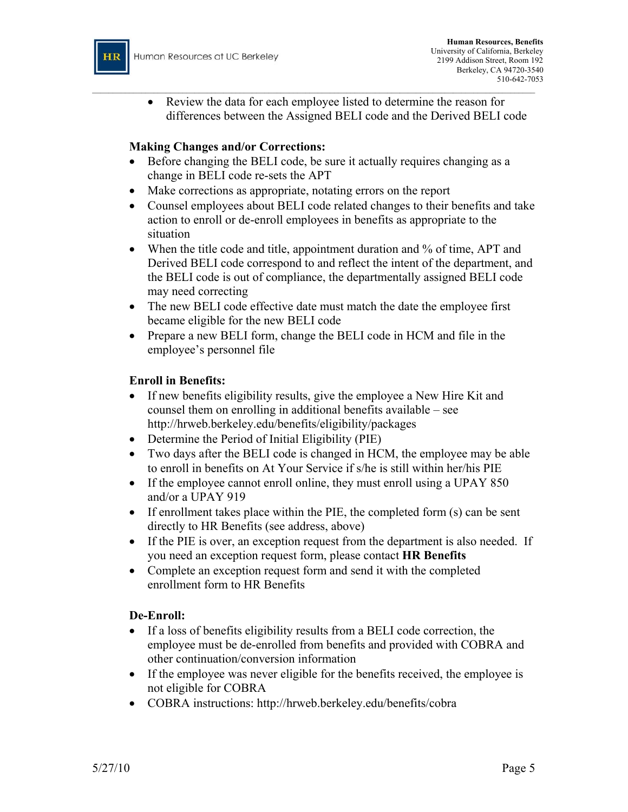

• Review the data for each employee listed to determine the reason for differences between the Assigned BELI code and the Derived BELI code

## **Making Changes and/or Corrections:**

• Before changing the BELI code, be sure it actually requires changing as a change in BELI code re-sets the APT

 $\_$  , and the set of the set of the set of the set of the set of the set of the set of the set of the set of the set of the set of the set of the set of the set of the set of the set of the set of the set of the set of th

- Make corrections as appropriate, notating errors on the report
- Counsel employees about BELI code related changes to their benefits and take action to enroll or de-enroll employees in benefits as appropriate to the situation
- When the title code and title, appointment duration and % of time, APT and Derived BELI code correspond to and reflect the intent of the department, and the BELI code is out of compliance, the departmentally assigned BELI code may need correcting
- The new BELI code effective date must match the date the employee first became eligible for the new BELI code
- Prepare a new BELI form, change the BELI code in HCM and file in the employee's personnel file

#### **Enroll in Benefits:**

- If new benefits eligibility results, give the employee a New Hire Kit and counsel them on enrolling in additional benefits available – see <http://hrweb.berkeley.edu/benefits/eligibility/packages>
- Determine the Period of Initial Eligibility (PIE)
- Two days after the BELI code is changed in HCM, the employee may be able to enroll in benefits on At Your Service if s/he is still within her/his PIE
- If the employee cannot enroll online, they must enroll using a UPAY 850 and/or a UPAY 919
- If enrollment takes place within the PIE, the completed form (s) can be sent directly to HR Benefits (see address, above)
- If the PIE is over, an exception request from the department is also needed. If you need an exception request form, please contact **HR Benefits**
- Complete an exception request form and send it with the completed enrollment form to HR Benefits

## **De-Enroll:**

- If a loss of benefits eligibility results from a BELI code correction, the employee must be de-enrolled from benefits and provided with COBRA and other continuation/conversion information
- If the employee was never eligible for the benefits received, the employee is not eligible for COBRA
- COBRA instructions: <http://hrweb.berkeley.edu/benefits/cobra>